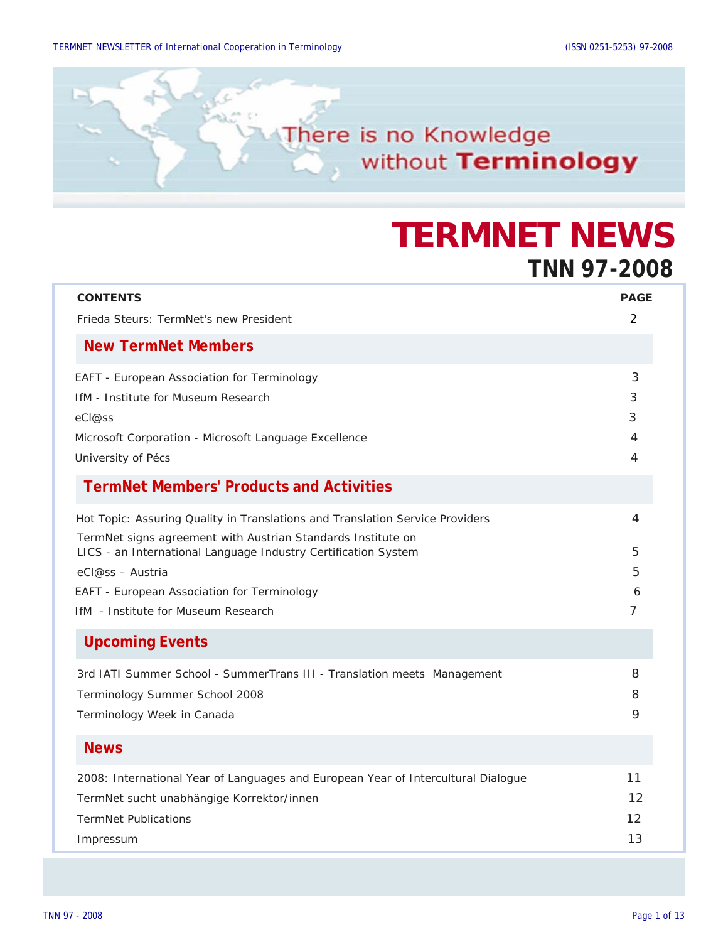

# **TERMNET NEWS TNN 97-2008**

| <b>CONTENTS</b><br>Frieda Steurs: TermNet's new President                                                                                                                                                                                                                                                                 | <b>PAGE</b><br>2      |
|---------------------------------------------------------------------------------------------------------------------------------------------------------------------------------------------------------------------------------------------------------------------------------------------------------------------------|-----------------------|
| <b>New TermNet Members</b>                                                                                                                                                                                                                                                                                                |                       |
| EAFT - European Association for Terminology<br><b>IfM</b> - Institute for Museum Research<br>eCl@ss<br>Microsoft Corporation - Microsoft Language Excellence<br>University of Pécs                                                                                                                                        | 3<br>3<br>3<br>4<br>4 |
| <b>TermNet Members' Products and Activities</b>                                                                                                                                                                                                                                                                           |                       |
| Hot Topic: Assuring Quality in Translations and Translation Service Providers<br>TermNet signs agreement with Austrian Standards Institute on<br>LICS - an International Language Industry Certification System<br>eCl@ss - Austria<br>EAFT - European Association for Terminology<br>IfM - Institute for Museum Research | 4<br>5<br>5<br>6<br>7 |
| <b>Upcoming Events</b>                                                                                                                                                                                                                                                                                                    |                       |
| 3rd IATI Summer School - SummerTrans III - Translation meets Management<br>Terminology Summer School 2008<br>Terminology Week in Canada                                                                                                                                                                                   | 8<br>8<br>9           |
| <b>News</b>                                                                                                                                                                                                                                                                                                               |                       |
| 2008: International Year of Languages and European Year of Intercultural Dialogue<br>TermNet sucht unabhängige Korrektor/innen<br><b>TermNet Publications</b><br>Impressum                                                                                                                                                | 11<br>12<br>12<br>13  |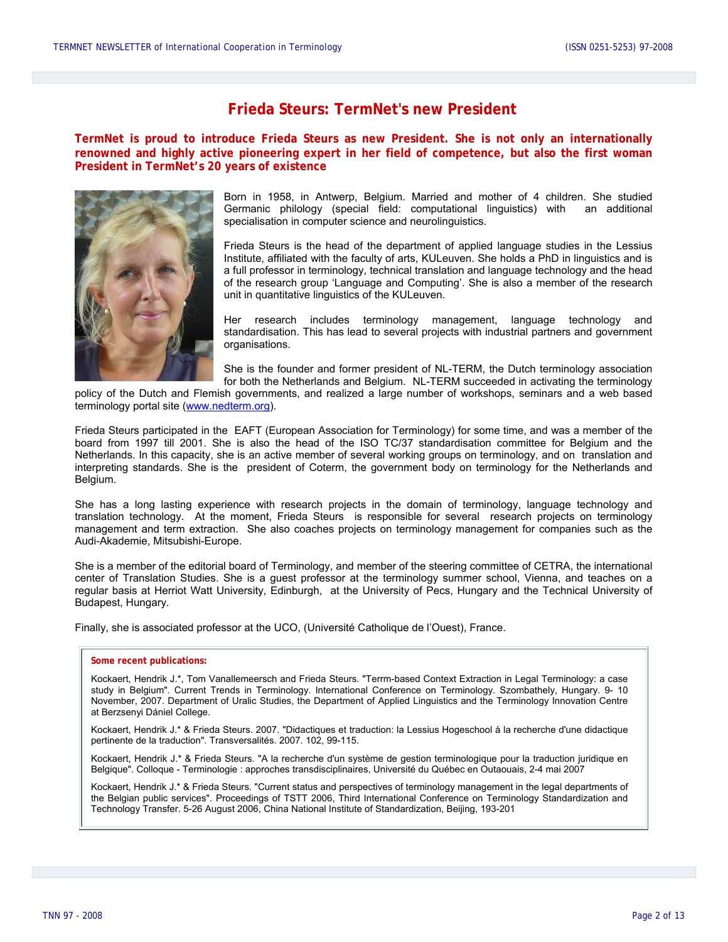### **Frieda Steurs: TermNet's new President**

**TermNet is proud to introduce Frieda Steurs as new President. She is not only an internationally renowned and highly active pioneering expert in her field of competence, but also the first woman President in TermNet's 20 years of existence** 



Born in 1958, in Antwerp, Belgium. Married and mother of 4 children. She studied Germanic philology (special field: computational linguistics) with an additional specialisation in computer science and neurolinguistics.

Frieda Steurs is the head of the department of applied language studies in the Lessius Institute, affiliated with the faculty of arts, KULeuven. She holds a PhD in linguistics and is a full professor in terminology, technical translation and language technology and the head of the research group 'Language and Computing'. She is also a member of the research unit in quantitative linguistics of the KULeuven.

Her research includes terminology management, language technology and standardisation. This has lead to several projects with industrial partners and government organisations.

She is the founder and former president of NL-TERM, the Dutch terminology association for both the Netherlands and Belgium. NL-TERM succeeded in activating the terminology

policy of the Dutch and Flemish governments, and realized a large number of workshops, seminars and a web based terminology portal site ([www.nedterm.org](http://www.nedterm.org/)).

Frieda Steurs participated in the EAFT (European Association for Terminology) for some time, and was a member of the board from 1997 till 2001. She is also the head of the ISO TC/37 standardisation committee for Belgium and the Netherlands. In this capacity, she is an active member of several working groups on terminology, and on translation and interpreting standards. She is the president of Coterm, the government body on terminology for the Netherlands and Belgium.

She has a long lasting experience with research projects in the domain of terminology, language technology and translation technology. At the moment, Frieda Steurs is responsible for several research projects on terminology management and term extraction. She also coaches projects on terminology management for companies such as the Audi-Akademie, Mitsubishi-Europe.

She is a member of the editorial board of Terminology, and member of the steering committee of CETRA, the international center of Translation Studies. She is a guest professor at the terminology summer school, Vienna, and teaches on a regular basis at Herriot Watt University, Edinburgh, at the University of Pecs, Hungary and the Technical University of Budapest, Hungary.

Finally, she is associated professor at the UCO, (Université Catholique de l'Ouest), France.

#### **a Some recent publications:**

Kockaert, Hendrik J.\*, Tom Vanallemeersch and Frieda Steurs. "Terrm-based Context Extraction in Legal Terminology: a case study in Belgium". Current Trends in Terminology. International Conference on Terminology. Szombathely, Hungary. 9- 10 November, 2007. Department of Uralic Studies, the Department of Applied Linguistics and the Terminology Innovation Centre at Berzsenyi Dániel College.

Kockaert, Hendrik J.\* & Frieda Steurs. 2007. "Didactiques et traduction: la Lessius Hogeschool à la recherche d'une didactique pertinente de la traduction". Transversalités. 2007. 102, 99-115.

Kockaert, Hendrik J.\* & Frieda Steurs. "A la recherche d'un système de gestion terminologique pour la traduction juridique en Belgique". Colloque - Terminologie : approches transdisciplinaires, Université du Québec en Outaouais, 2-4 mai 2007

Kockaert, Hendrik J.\* & Frieda Steurs. "Current status and perspectives of terminology management in the legal departments of the Belgian public services". Proceedings of TSTT 2006, Third International Conference on Terminology Standardization and Technology Transfer. 5-26 August 2006, China National Institute of Standardization, Beijing, 193-201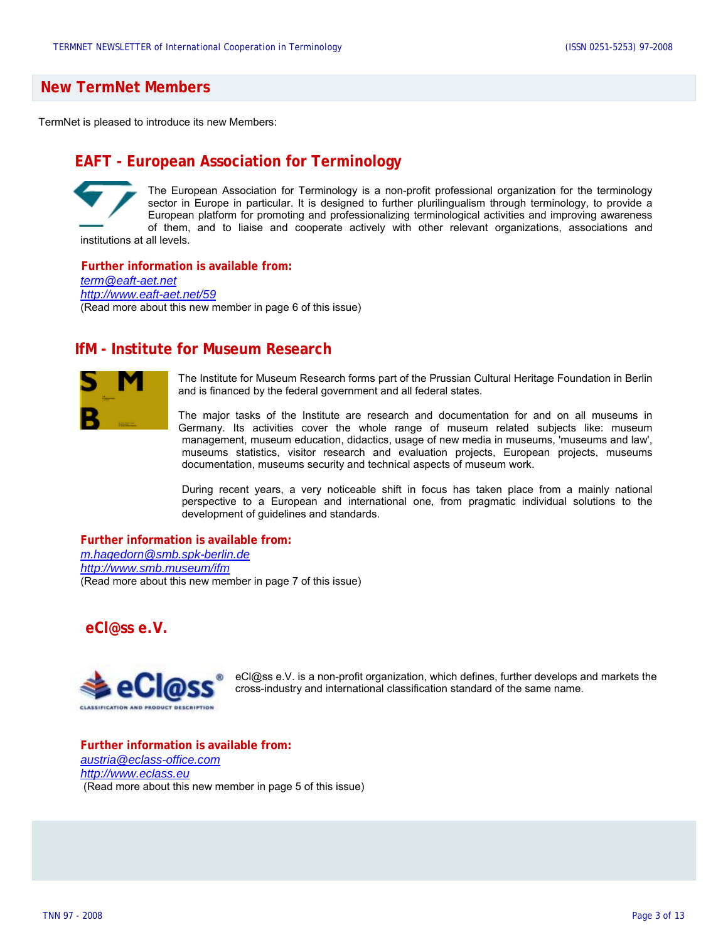### **New TermNet Members**

TermNet is pleased to introduce its new Members:

### **EAFT - European Association for Terminology**

The European Association for Terminology is a non-profit professional organization for the terminology sector in Europe in particular. It is designed to further plurilingualism through terminology, to provide a European platform for promoting and professionalizing terminological activities and improving awareness of them, and to liaise and cooperate actively with other relevant organizations, associations and institutions at all levels.

**Further information is available from:**  *[term@eaft-aet.net](mailto:term@eaft-aet.net)  <http://www.eaft-aet.net/59>* (Read more about this new member in page 6 of this issue)

### **IfM - Institute for Museum Research**



The Institute for Museum Research forms part of the Prussian Cultural Heritage Foundation in Berlin and is financed by the federal government and all federal states.

The major tasks of the Institute are research and documentation for and on all museums in Germany. Its activities cover the whole range of museum related subjects like: museum management, museum education, didactics, usage of new media in museums, 'museums and law', museums statistics, visitor research and evaluation projects, European projects, museums documentation, museums security and technical aspects of museum work.

During recent years, a very noticeable shift in focus has taken place from a mainly national perspective to a European and international one, from pragmatic individual solutions to the development of guidelines and standards.

**Further information is available from:** *[m.hagedorn@smb.spk-berlin.de](mailto:m.hagedorn@smb.spk-berlin.de) <http://www.smb.museum/ifm>* (Read more about this new member in page 7 of this issue)

**eCl@ss e.V.** 



[eCl@ss](mailto:eCl@ss) e.V. is a non-profit organization, which defines, further develops and markets the cross-industry and international classification standard of the same name.

**Further information is available from:**  *[austria@eclass-office.com](mailto:austria@eclass-office.com) [http://www.eclass.eu](http://www.eclass.eu/)* (Read more about this new member in page 5 of this issue)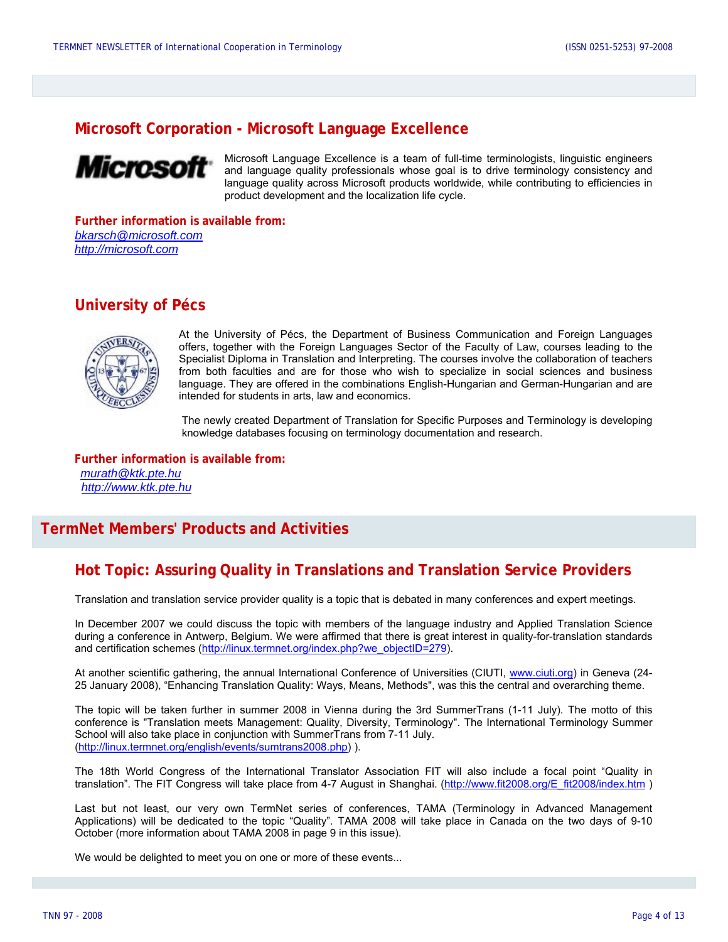### **Microsoft Corporation - Microsoft Language Excellence**



Microsoft Language Excellence is a team of full-time terminologists, linguistic engineers and language quality professionals whose goal is to drive terminology consistency and language quality across Microsoft products worldwide, while contributing to efficiencies in product development and the localization life cycle.

**Further information is available from:**  *[bkarsch@microsoft.com](mailto:bkarsch@microsoft.com) [http://microsoft.com](http://microsoft.com/)*

### **University of Pécs**



At the University of Pécs, the Department of Business Communication and Foreign Languages offers, together with the Foreign Languages Sector of the Faculty of Law, courses leading to the Specialist Diploma in Translation and Interpreting. The courses involve the collaboration of teachers from both faculties and are for those who wish to specialize in social sciences and business language. They are offered in the combinations English-Hungarian and German-Hungarian and are intended for students in arts, law and economics.

The newly created Department of Translation for Specific Purposes and Terminology is developing knowledge databases focusing on terminology documentation and research.

**Further information is available from:**  *murath@ktk.pte.hu http://www.ktk.pte.hu*

### **TermNet Members' Products and Activities**

### **Hot Topic: Assuring Quality in Translations and Translation Service Providers**

Translation and translation service provider quality is a topic that is debated in many conferences and expert meetings.

In December 2007 we could discuss the topic with members of the language industry and Applied Translation Science during a conference in Antwerp, Belgium. We were affirmed that there is great interest in quality-for-translation standards and certification schemes ([http://linux.termnet.org/index.php?we\\_objectID=279\)](http://linux.termnet.org/index.php?we_objectID=279).

At another scientific gathering, the annual International Conference of Universities (CIUTI, [www.ciuti.org](http://www.ciuti.org/)) in Geneva (24-25 January 2008), "Enhancing Translation Quality: Ways, Means, Methods", was this the central and overarching theme.

The topic will be taken further in summer 2008 in Vienna during the 3rd SummerTrans (1-11 July). The motto of this conference is "Translation meets Management: Quality, Diversity, Terminology". The International Terminology Summer School will also take place in conjunction with SummerTrans from 7-11 July. (<http://linux.termnet.org/english/events/sumtrans2008.php>) ).

The 18th World Congress of the International Translator Association FIT will also include a focal point "Quality in translation". The FIT Congress will take place from 4-7 August in Shanghai. ([http://www.fit2008.org/E\\_fit2008/index.htm](http://www.fit2008.org/E_fit2008/index.htm) )

Last but not least, our very own TermNet series of conferences, TAMA (Terminology in Advanced Management Applications) will be dedicated to the topic "Quality". TAMA 2008 will take place in Canada on the two days of 9-10 October (more information about TAMA 2008 in page 9 in this issue).

We would be delighted to meet you on one or more of these events...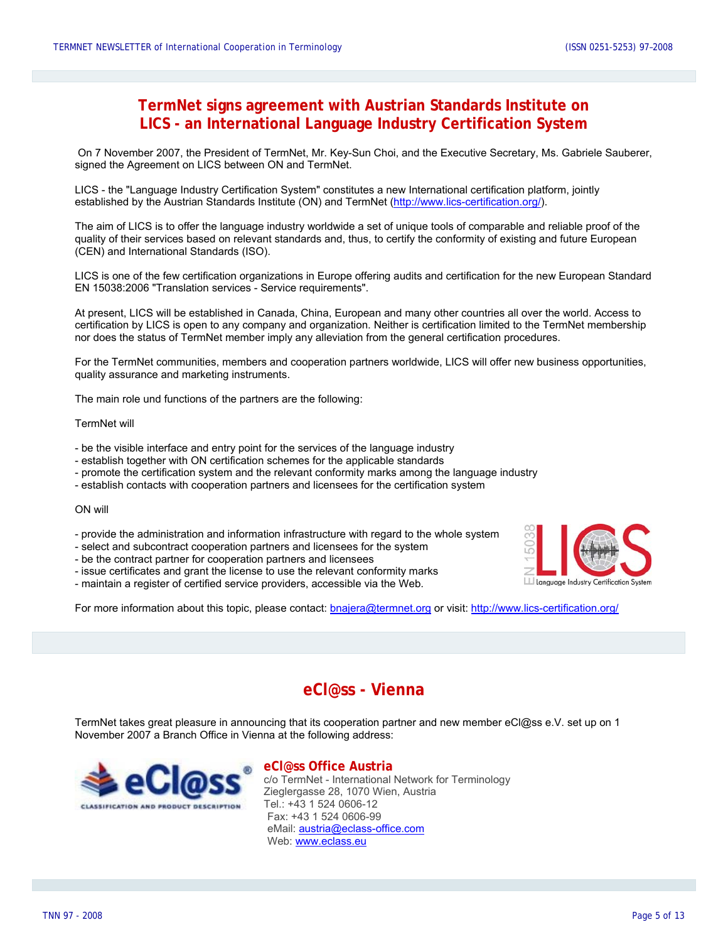### **TermNet signs agreement with Austrian Standards Institute on LICS - an International Language Industry Certification System**

On 7 November 2007, the President of TermNet, Mr. Key-Sun Choi, and the Executive Secretary, Ms. Gabriele Sauberer, signed the Agreement on LICS between ON and TermNet.

LICS - the "Language Industry Certification System" constitutes a new International certification platform, jointly established by the Austrian Standards Institute (ON) and TermNet [\(http://www.lics-certification.org/](http://www.lics-certification.org/)).

The aim of LICS is to offer the language industry worldwide a set of unique tools of comparable and reliable proof of the quality of their services based on relevant standards and, thus, to certify the conformity of existing and future European (CEN) and International Standards (ISO).

LICS is one of the few certification organizations in Europe offering audits and certification for the new European Standard EN 15038:2006 "Translation services - Service requirements".

At present, LICS will be established in Canada, China, European and many other countries all over the world. Access to certification by LICS is open to any company and organization. Neither is certification limited to the TermNet membership nor does the status of TermNet member imply any alleviation from the general certification procedures.

For the TermNet communities, members and cooperation partners worldwide, LICS will offer new business opportunities, quality assurance and marketing instruments.

The main role und functions of the partners are the following:

#### TermNet will

- be the visible interface and entry point for the services of the language industry
- establish together with ON certification schemes for the applicable standards
- promote the certification system and the relevant conformity marks among the language industry
- establish contacts with cooperation partners and licensees for the certification system

#### ON will

- provide the administration and information infrastructure with regard to the whole system
- select and subcontract cooperation partners and licensees for the system
- be the contract partner for cooperation partners and licensees
- issue certificates and grant the license to use the relevant conformity marks
- maintain a register of certified service providers, accessible via the Web.



For more information about this topic, please contact: **bnajera@termnet.org** or visit:<http://www.lics-certification.org/>

### **eCl@ss - Vienna**

TermNet takes great pleasure in announcing that its cooperation partner and new member eCl@ss e.V. set up on 1 November 2007 a Branch Office in Vienna at the following address:



 **eCl@ss Office Austria**  c/o TermNet - International Network for Terminology Zieglergasse 28, 1070 Wien, Austria Tel.: +43 1 524 0606-12 Fax: +43 1 524 0606-99 eMail: [austria@eclass-office.com](mailto:austria@eclass-office.com) Web: [www.eclass.eu](http://www.eclass.eu/)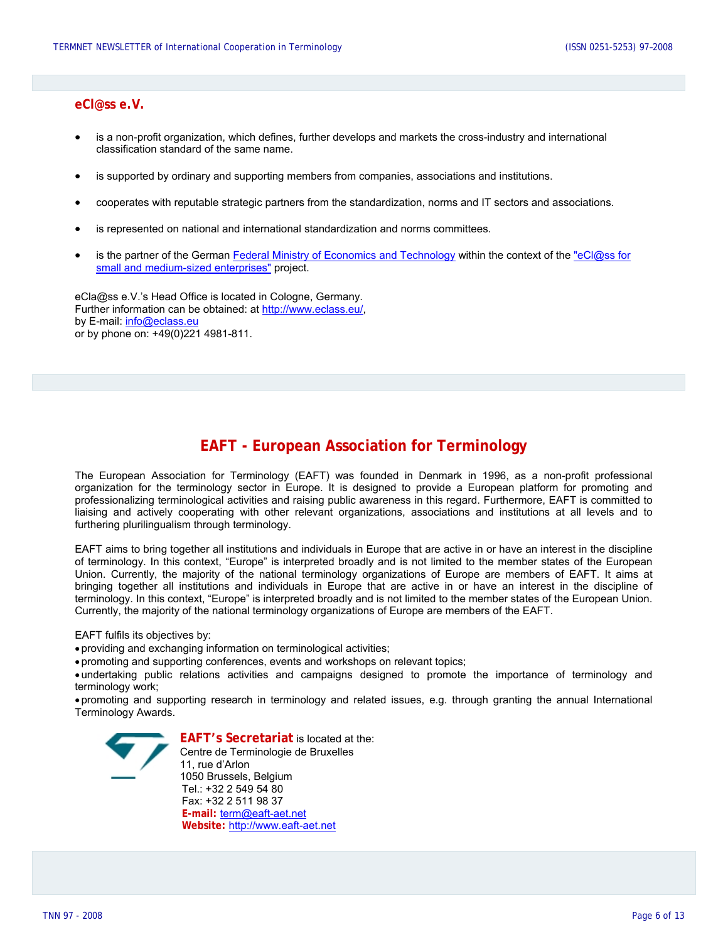#### **eCl@ss e.V.**

- is a non-profit organization, which defines, further develops and markets the cross-industry and international classification standard of the same name.
- is supported by ordinary and supporting members from companies, associations and institutions.
- cooperates with reputable strategic partners from the standardization, norms and IT sectors and associations.
- is represented on national and international standardization and norms committees.
- is the partner of the German [Federal Ministry of Economics and Technology](http://www.bmwi.de/English/Navigation/root.html) within the context of the "eCl@ss for [small and medium-sized enterprises"](http://www.bmwi.de/BMWi/Navigation/root,did=63098.html) project.

eCla@ss e.V.'s Head Office is located in Cologne, Germany. Further information can be obtained: at <http://www.eclass.eu/>, by E-mail: [info@eclass.eu](mailto:info@eclass.eu) or by phone on: +49(0)221 4981-811.

### **EAFT - European Association for Terminology**

The European Association for Terminology (EAFT) was founded in Denmark in 1996, as a non-profit professional organization for the terminology sector in Europe. It is designed to provide a European platform for promoting and professionalizing terminological activities and raising public awareness in this regard. Furthermore, EAFT is committed to liaising and actively cooperating with other relevant organizations, associations and institutions at all levels and to furthering plurilingualism through terminology.

EAFT aims to bring together all institutions and individuals in Europe that are active in or have an interest in the discipline of terminology. In this context, "Europe" is interpreted broadly and is not limited to the member states of the European Union. Currently, the majority of the national terminology organizations of Europe are members of EAFT. It aims at bringing together all institutions and individuals in Europe that are active in or have an interest in the discipline of terminology. In this context, "Europe" is interpreted broadly and is not limited to the member states of the European Union. Currently, the majority of the national terminology organizations of Europe are members of the EAFT.

EAFT fulfils its objectives by:

• providing and exchanging information on terminological activities;

• promoting and supporting conferences, events and workshops on relevant topics;

• undertaking public relations activities and campaigns designed to promote the importance of terminology and terminology work;

• promoting and supporting research in terminology and related issues, e.g. through granting the annual International Terminology Awards.



**EAFT's Secretariat** is located at the: Centre de Terminologie de Bruxelles 11, rue d'Arlon 1050 Brussels, Belgium Tel.: +32 2 549 54 80 Fax: +32 2 511 98 37 **E-mail:** [term@eaft-aet.net](mailto:term@eaft-aet.net) **Website:** [http://www.eaft-aet.net](http://www.eaft-aet.net/)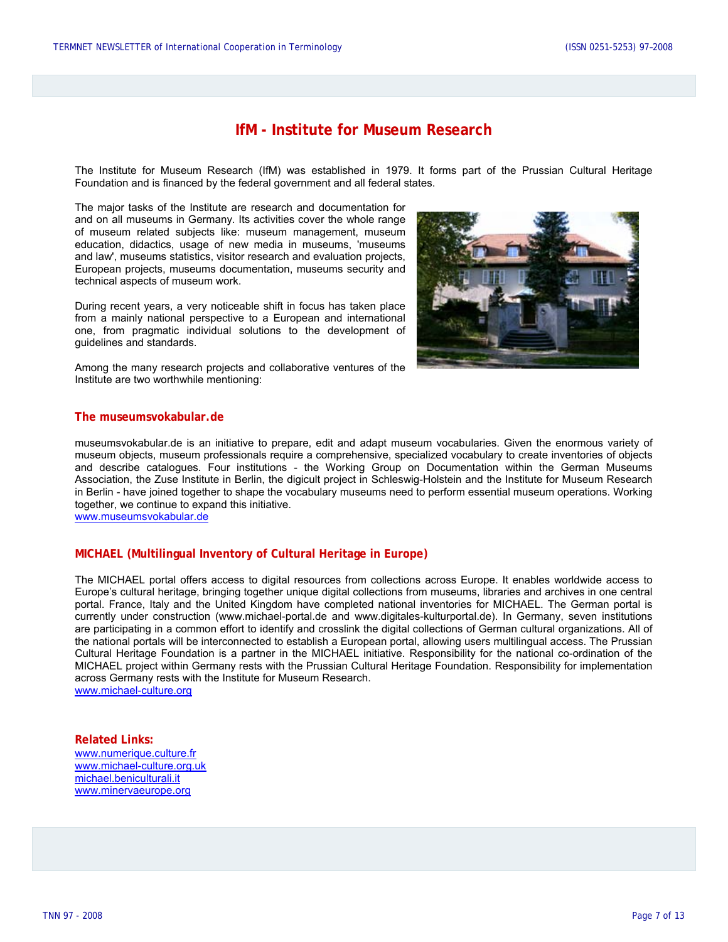### **IfM - Institute for Museum Research**

The Institute for Museum Research (IfM) was established in 1979. It forms part of the Prussian Cultural Heritage Foundation and is financed by the federal government and all federal states.

The major tasks of the Institute are research and documentation for and on all museums in Germany. Its activities cover the whole range of museum related subjects like: museum management, museum education, didactics, usage of new media in museums, 'museums and law', museums statistics, visitor research and evaluation projects, European projects, museums documentation, museums security and technical aspects of museum work.

During recent years, a very noticeable shift in focus has taken place from a mainly national perspective to a European and international one, from pragmatic individual solutions to the development of guidelines and standards.

Among the many research projects and collaborative ventures of the Institute are two worthwhile mentioning:



#### **The museumsvokabular.de**

museumsvokabular.de is an initiative to prepare, edit and adapt museum vocabularies. Given the enormous variety of museum objects, museum professionals require a comprehensive, specialized vocabulary to create inventories of objects and describe catalogues. Four institutions - the Working Group on Documentation within the German Museums Association, the Zuse Institute in Berlin, the digicult project in Schleswig-Holstein and the Institute for Museum Research in Berlin - have joined together to shape the vocabulary museums need to perform essential museum operations. Working together, we continue to expand this initiative.

[www.museumsvokabular.de](http://www.museumsvokabular.de/)

#### **MICHAEL (Multilingual Inventory of Cultural Heritage in Europe)**

The MICHAEL portal offers access to digital resources from collections across Europe. It enables worldwide access to Europe's cultural heritage, bringing together unique digital collections from museums, libraries and archives in one central portal. France, Italy and the United Kingdom have completed national inventories for MICHAEL. The German portal is currently under construction (www.michael-portal.de and <www.digitales-kulturportal.de>). In Germany, seven institutions are participating in a common effort to identify and crosslink the digital collections of German cultural organizations. All of the national portals will be interconnected to establish a European portal, allowing users multilingual access. The Prussian Cultural Heritage Foundation is a partner in the MICHAEL initiative. Responsibility for the national co-ordination of the MICHAEL project within Germany rests with the Prussian Cultural Heritage Foundation. Responsibility for implementation across Germany rests with the Institute for Museum Research. [www.michael-culture.org](http://www.michael-culture.org/)

**Related Links:**  [www.numerique.culture.fr](http://www.numerique.culture.fr/) [www.michael-culture.org.uk](http://www.michael-culture.org.uk/) [michael.beniculturali.it](http://michael.beniculturali.it/) [www.minervaeurope.org](http://www.minervaeurope.org/)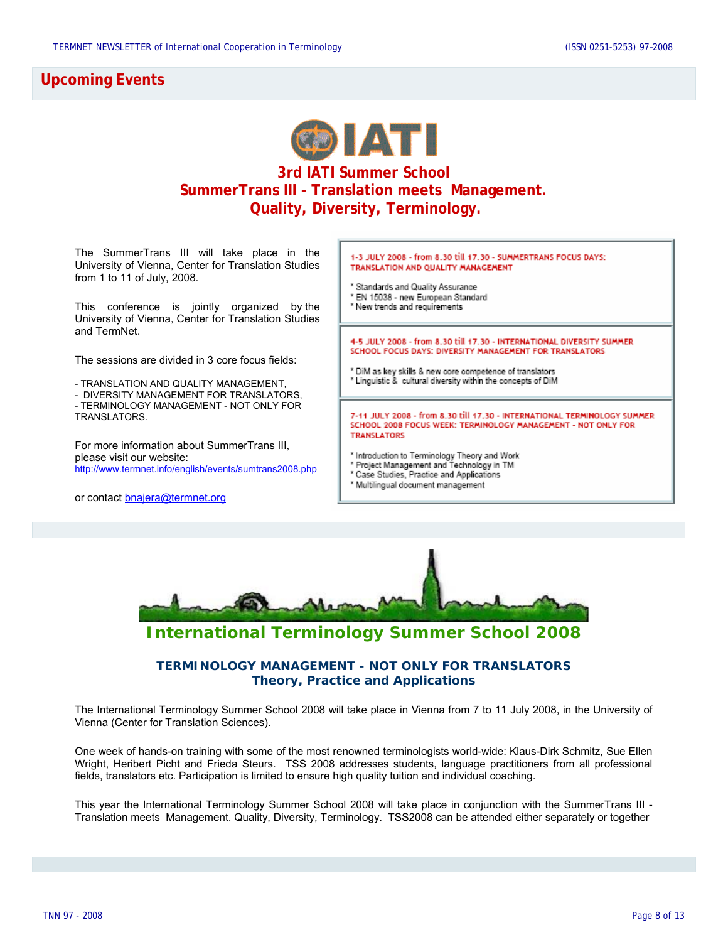### **Upcoming Events**



### **3rd IATI Summer School SummerTrans III - Translation meets Management. Quality, Diversity, Terminology.**

The SummerTrans III will take place in the [University of Vienna, Center for Translation Studies](http://public.univie.ac.at/index.php) from 1 to 11 of July, 2008.

This conference is jointly organized by the [University of Vienna, Center for Translation Studies](http://public.univie.ac.at/index.php) and [TermNet](http://www.termnet.org/).

The sessions are divided in 3 core focus fields:

- TRANSLATION AND QUALITY MANAGEMENT,

- DIVERSITY MANAGEMENT FOR TRANSLATORS,

- TERMINOLOGY MANAGEMENT - NOT ONLY FOR TRANSLATORS.

For more information about SummerTrans III, please visit our website: <http://www.termnet.info/english/events/sumtrans2008.php>

or contact **bnajera@termnet.org** 

1-3 JULY 2008 - from 8.30 till 17.30 - SUMMERTRANS FOCUS DAYS: TRANSLATION AND QUALITY MANAGEMENT

- Standards and Quality Assurance
- \* EN 15038 new European Standard
- \* New trends and requirements

4-5 JULY 2008 - from 8.30 till 17.30 - INTERNATIONAL DIVERSITY SUMMER SCHOOL FOCUS DAYS: DIVERSITY MANAGEMENT FOR TRANSLATORS

- ' DiM as key skills & new core competence of translators
- " Linguistic & cultural diversity within the concepts of DiM

7-11 JULY 2008 - from 8.30 till 17.30 - INTERNATIONAL TERMINOLOGY SUMMER SCHOOL 2008 FOCUS WEEK: TERMINOLOGY MANAGEMENT - NOT ONLY FOR **TRANSLATORS** 

- 
- \* Introduction to Terminology Theory and Work<br>\* Project Management and Technology in TM
- \* Case Studies, Practice and Applications
- <sup>\*</sup> Multilingual document management



## **International Terminology Summer School 2008**

### **TERMINOLOGY MANAGEMENT - NOT ONLY FOR TRANSLATORS Theory, Practice and Applications**

The International Terminology Summer School 2008 will take place in Vienna from 7 to 11 July 2008, in the University of Vienna (Center for Translation Sciences).

One week of hands-on training with some of the most renowned terminologists world-wide: Klaus-Dirk Schmitz, Sue Ellen Wright, Heribert Picht and Frieda Steurs. TSS 2008 addresses students, language practitioners from all professional fields, translators etc. Participation is limited to ensure high quality tuition and individual coaching.

This year the International Terminology Summer School 2008 will take place in conjunction with the SummerTrans III - Translation meets Management. Quality, Diversity, Terminology. TSS2008 can be attended either separately or together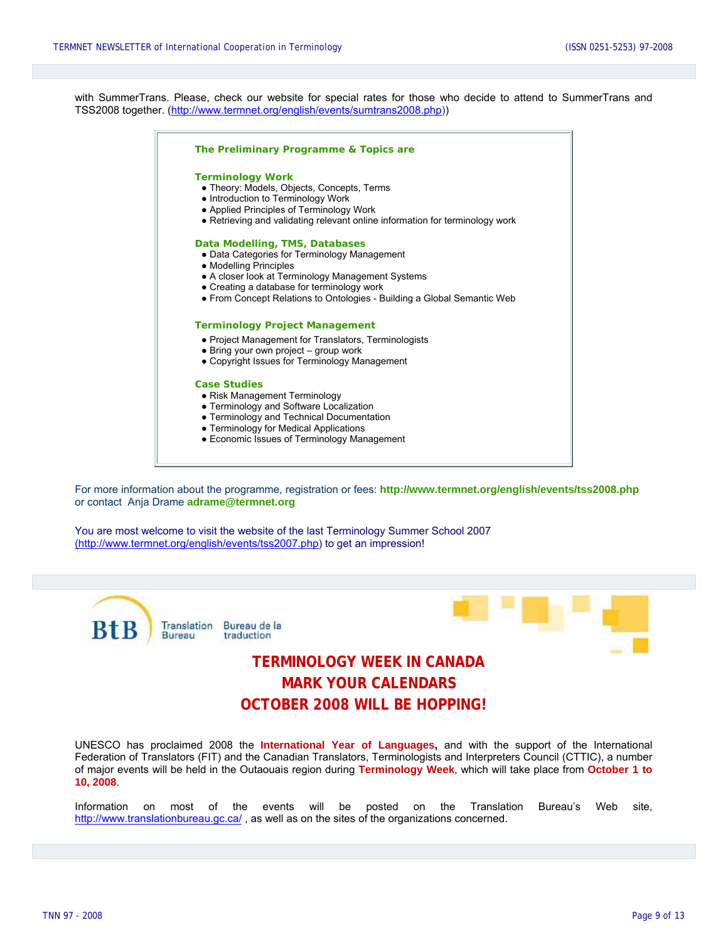with SummerTrans. Please, check our website for special rates for those who decide to attend to SummerTrans and TSS2008 together. [\(http://www.termnet.org/english/events/sumtrans2008.php\)](http://www.termnet.org/english/events/sumtrans2008.php))



For more information about the programme, registration or fees: **<http://www.termnet.org/english/events/tss2008.php>** or contact Anja Drame **[adrame@termnet.org](mailto:adrame@termnet.org)**

You are most welcome to visit the website of the last Terminology Summer School 2007 (http://www.termnet.org/english/events/tss2007.php) to get an impression!



# **MARK YOUR CALENDARS OCTOBER 2008 WILL BE HOPPING!**

UNESCO has proclaimed 2008 the **International Year of Languages,** and with the support of the International Federation of Translators (FIT) and the Canadian Translators, Terminologists and Interpreters Council (CTTIC), a number of major events will be held in the Outaouais region during **Terminology Week**, which will take place from **October 1 to 10, 2008**.

Information on most of the events will be posted on the Translation Bureau's Web site, <http://www.translationbureau.gc.ca/>, as well as on the sites of the organizations concerned.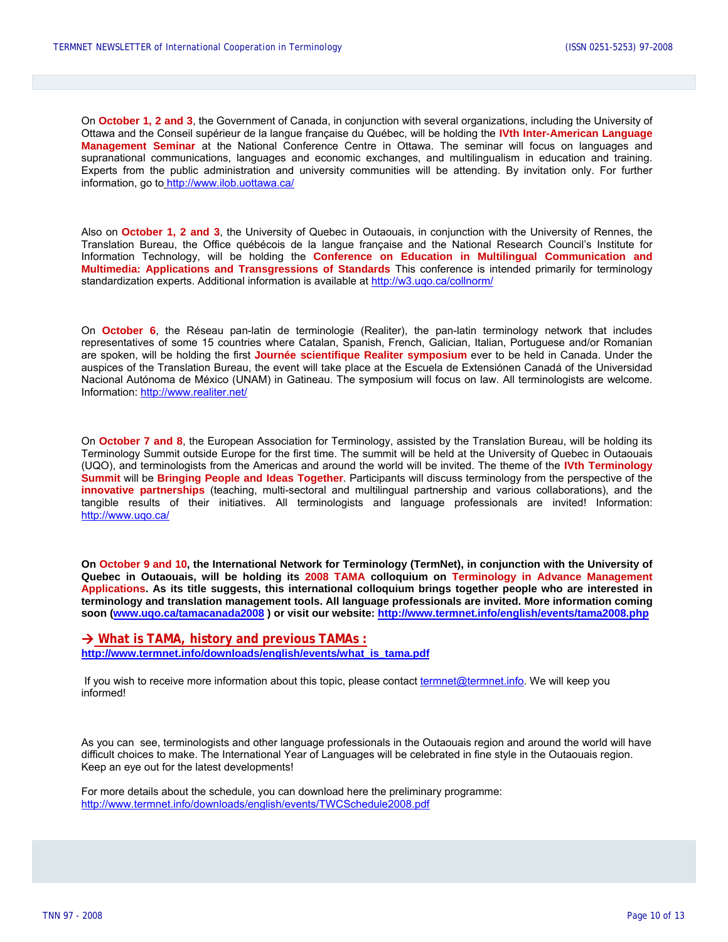On **October 1, 2 and 3**, the Government of Canada, in conjunction with several organizations, including the University of Ottawa and the Conseil supérieur de la langue française du Québec, will be holding the **IVth Inter-American Language Management Seminar** at the National Conference Centre in Ottawa. The seminar will focus on languages and supranational communications, languages and economic exchanges, and multilingualism in education and training. Experts from the public administration and university communities will be attending. By invitation only. For further information, go to<http://www.ilob.uottawa.ca/>

Also on **October 1, 2 and 3**, the University of Quebec in Outaouais, in conjunction with the University of Rennes, the Translation Bureau, the Office québécois de la langue française and the National Research Council's Institute for Information Technology, will be holding the **Conference on Education in Multilingual Communication and Multimedia: Applications and Transgressions of Standards** This conference is intended primarily for terminology standardization experts. Additional information is available at<http://w3.uqo.ca/collnorm/>

On **October 6**, the Réseau pan-latin de terminologie (Realiter), the pan-latin terminology network that includes representatives of some 15 countries where Catalan, Spanish, French, Galician, Italian, Portuguese and/or Romanian are spoken, will be holding the first **Journée scientifique Realiter symposium** ever to be held in Canada. Under the auspices of the Translation Bureau, the event will take place at the Escuela de Extensiónen Canadá of the Universidad Nacional Autónoma de México (UNAM) in Gatineau. The symposium will focus on law. All terminologists are welcome. Information:<http://www.realiter.net/>

On **October 7 and 8**, the European Association for Terminology, assisted by the Translation Bureau, will be holding its Terminology Summit outside Europe for the first time. The summit will be held at the University of Quebec in Outaouais (UQO), and terminologists from the Americas and around the world will be invited. The theme of the **IVth Terminology Summit** will be **Bringing People and Ideas Together**. Participants will discuss terminology from the perspective of the **innovative partnerships** (teaching, multi-sectoral and multilingual partnership and various collaborations), and the tangible results of their initiatives. All terminologists and language professionals are invited! Information: <http://www.uqo.ca/>

**On October 9 and 10, the International Network for Terminology (TermNet), in conjunction with the University of Quebec in Outaouais, will be holding its 2008 TAMA colloquium on Terminology in Advance Management Applications. As its title suggests, this international colloquium brings together people who are interested in terminology and translation management tools. All language professionals are invited. More information coming soon [\(www.uqo.ca/tamacanada2008](http://www.uqo.ca/tamacanada2008) ) or visit our website: <http://www.termnet.info/english/events/tama2008.php>**

 $→$  **[What is TAMA, history and previous TAMAs](http://www.termnet.org/english/events/sumtrans2008.php) : [http://www.termnet.info/downloads/english/events/what\\_is\\_tama.pdf](http://www.termnet.info/downloads/english/events/what_is_tama.pdf)**

If you wish to receive more information about this topic, please contact [termnet@termnet.info.](mailto:termnet@termnet.info) We will keep you informed!

As you can see, terminologists and other language professionals in the Outaouais region and around the world will have difficult choices to make. The International Year of Languages will be celebrated in fine style in the Outaouais region. Keep an eye out for the latest developments!

For more details about the schedule, you can download here the preliminary programme: <http://www.termnet.info/downloads/english/events/TWCSchedule2008.pdf>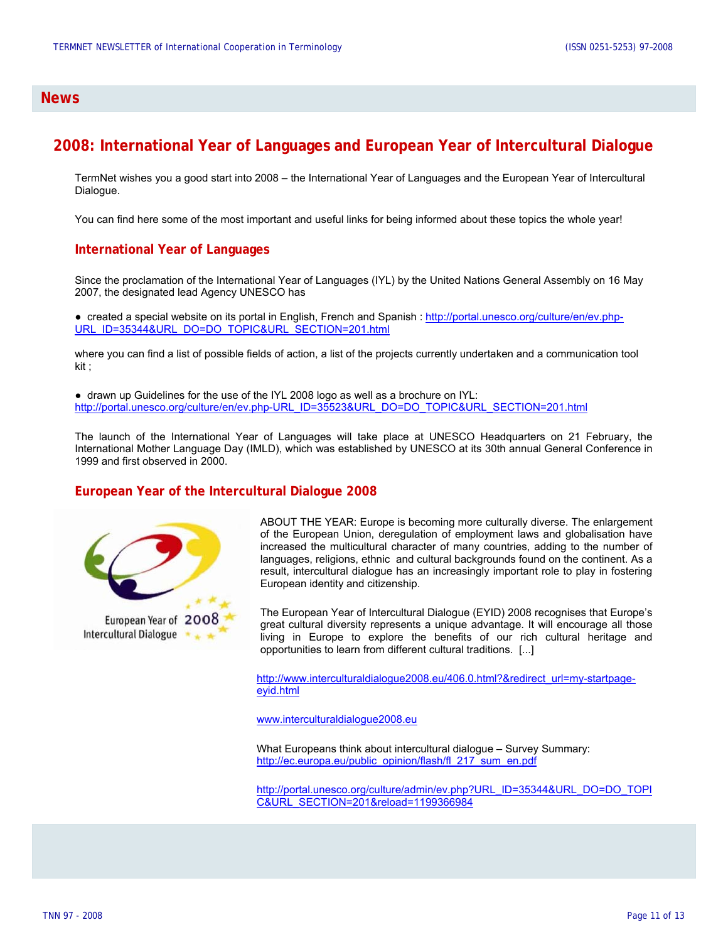#### **News**

### **2008: International Year of Languages and European Year of Intercultural Dialogue**

TermNet wishes you a good start into 2008 – the International Year of Languages and the European Year of Intercultural Dialogue.

You can find here some of the most important and useful links for being informed about these topics the whole year!

#### **International Year of Languages**

Since the proclamation of the International Year of Languages (IYL) by the United Nations General Assembly on 16 May 2007, the designated lead Agency UNESCO has

● created a special website on its portal in English, French and Spanish : [http://portal.unesco.org/culture/en/ev.php-](http://portal.unesco.org/culture/en/ev.php-URL_ID=35344&URL_DO=DO_TOPIC&URL_SECTION=201.html)[URL\\_ID=35344&URL\\_DO=DO\\_TOPIC&URL\\_SECTION=201.html](http://portal.unesco.org/culture/en/ev.php-URL_ID=35344&URL_DO=DO_TOPIC&URL_SECTION=201.html)

where you can find a list of possible fields of action, a list of the projects currently undertaken and a communication tool kit ;

● drawn up Guidelines for the use of the IYL 2008 logo as well as a brochure on IYL: [http://portal.unesco.org/culture/en/ev.php-URL\\_ID=35523&URL\\_DO=DO\\_TOPIC&URL\\_SECTION=201.html](http://portal.unesco.org/culture/en/ev.php-URL_ID=35523&URL_DO=DO_TOPIC&URL_SECTION=201.html)

The launch of the International Year of Languages will take place at UNESCO Headquarters on 21 February, the International Mother Language Day (IMLD), which was established by UNESCO at its 30th annual General Conference in 1999 and first observed in 2000.

#### **European Year of the Intercultural Dialogue 2008**



ABOUT THE YEAR: Europe is becoming more culturally diverse. The enlargement of the European Union, deregulation of employment laws and globalisation have increased the multicultural character of many countries, adding to the number of languages, religions, ethnic and cultural backgrounds found on the continent. As a result, intercultural dialogue has an increasingly important role to play in fostering European identity and citizenship.

The European Year of Intercultural Dialogue (EYID) 2008 recognises that Europe's great cultural diversity represents a unique advantage. It will encourage all those living in Europe to explore the benefits of our rich cultural heritage and opportunities to learn from different cultural traditions. [...]

[http://www.interculturaldialogue2008.eu/406.0.html?&redirect\\_url=my-startpage](http://www.interculturaldialogue2008.eu/406.0.html?&redirect_url=my-startpage-eyid.html)[eyid.html](http://www.interculturaldialogue2008.eu/406.0.html?&redirect_url=my-startpage-eyid.html)

[www.interculturaldialogue2008.eu](http://www.interculturaldialogue2008.eu/)

What Europeans think about intercultural dialogue – Survey Summary: [http://ec.europa.eu/public\\_opinion/flash/fl\\_217\\_sum\\_en.pdf](http://ec.europa.eu/public_opinion/flash/fl_217_sum_en.pdf)

[http://portal.unesco.org/culture/admin/ev.php?URL\\_ID=35344&URL\\_DO=DO\\_TOPI](http://portal.unesco.org/culture/admin/ev.php?URL_ID=35344&URL_DO=DO_TOPIC&URL_SECTION=201&reload=1199366984) [C&URL\\_SECTION=201&reload=1199366984](http://portal.unesco.org/culture/admin/ev.php?URL_ID=35344&URL_DO=DO_TOPIC&URL_SECTION=201&reload=1199366984)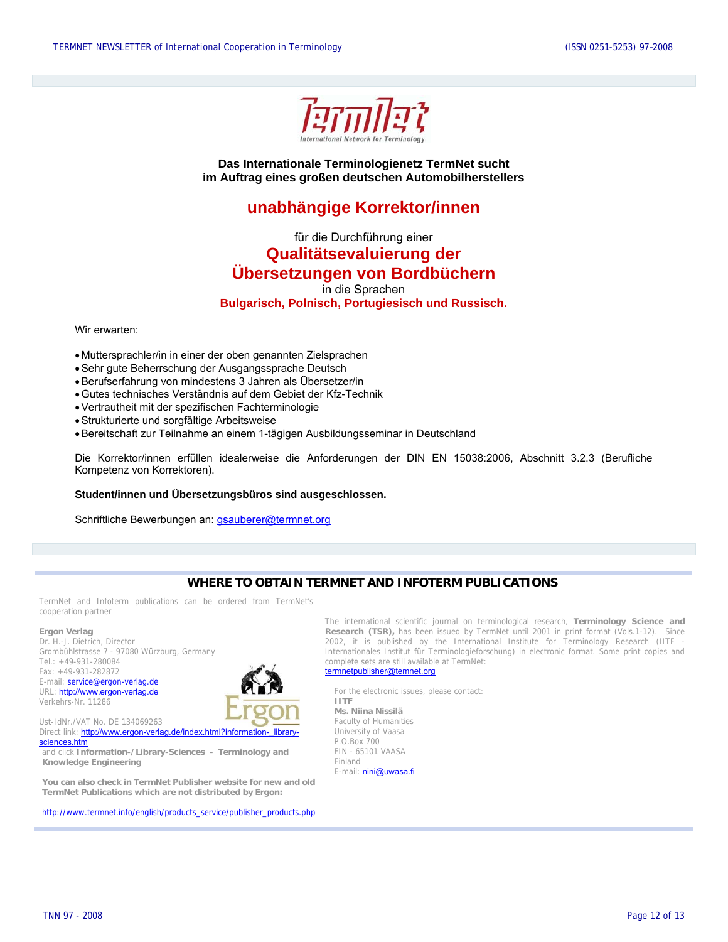

**Das Internationale Terminologienetz TermNet sucht im Auftrag eines großen deutschen Automobilherstellers** 

### **unabhängige Korrektor/innen**

für die Durchführung einer

**Qualitätsevaluierung der** 

### **Übersetzungen von Bordbüchern**

in die Sprachen

**Bulgarisch, Polnisch, Portugiesisch und Russisch.** 

Wir erwarten:

- Muttersprachler/in in einer der oben genannten Zielsprachen
- Sehr gute Beherrschung der Ausgangssprache Deutsch
- Berufserfahrung von mindestens 3 Jahren als Übersetzer/in
- Gutes technisches Verständnis auf dem Gebiet der Kfz-Technik
- Vertrautheit mit der spezifischen Fachterminologie
- Strukturierte und sorgfältige Arbeitsweise
- Bereitschaft zur Teilnahme an einem 1-tägigen Ausbildungsseminar in Deutschland

Die Korrektor/innen erfüllen idealerweise die Anforderungen der DIN EN 15038:2006, Abschnitt 3.2.3 (Berufliche Kompetenz von Korrektoren).

**Student/innen und Übersetzungsbüros sind ausgeschlossen.** 

Schriftliche Bewerbungen an: [gsauberer@termnet.org](mailto:gsauberer@termnet.org)

### **WHERE TO OBTAIN TERMNET AND INFOTERM PUBLICATIONS**

TermNet and Infoterm publications can be ordered from TermNet's cooperation partner

#### **Ergon Verlag**

Dr. H.-J. Dietrich, Director Grombühlstrasse 7 - 97080 Würzburg, Germany Tel.: +49-931-280084 Fax: +49-931-282872 E-mail: **service@ergon-verlag.de** URL: [http://www.ergon-verlag.de](http://www.ergon-verlag.de/) **For the electronic issues, please contact:**<br>Verkehrs-Nr. 11286 Verkehrs-Nr. 11286



Ust-IdNr./VAT No. DE 134069263 Faculty of Humanities Direct link: [http://www.ergon-verlag.de/index.html?information-\\_library](http://www.ergon-verlag.de/index.html?information-_library-sciences.htm)[sciences.htm](http://www.ergon-verlag.de/index.html?information-_library-sciences.htm)

and click **Information-/Library-Sciences - Terminology and Knowledge Engineering** 

**You can also check in TermNet Publisher website for new and old TermNet Publications which are not distributed by Ergon:** 

[http://www.termnet.info/english/products\\_service/publisher\\_products.php](http://www.termnet.info/english/products_service/publisher_products.php)

The international scientific journal on terminological research, **Terminology Science and Research (TSR),** has been issued by TermNet until 2001 in print format (Vols.1-12). Since 2002, it is published by the International Institute for Terminology Research (IITF Internationales Institut für Terminologieforschung) in electronic format. Some print copies and complete sets are still available at TermNet: [termnetpublisher@temnet.org](mailto:termnetpublisher@temnet.org)

**Ms. Niina Nissilä**  University of Vaasa P.O.Box 700 FIN - 65101 VAASA Finland E-mail: **[nini@uwasa.fi](mailto:nini@uwasa.fi)**